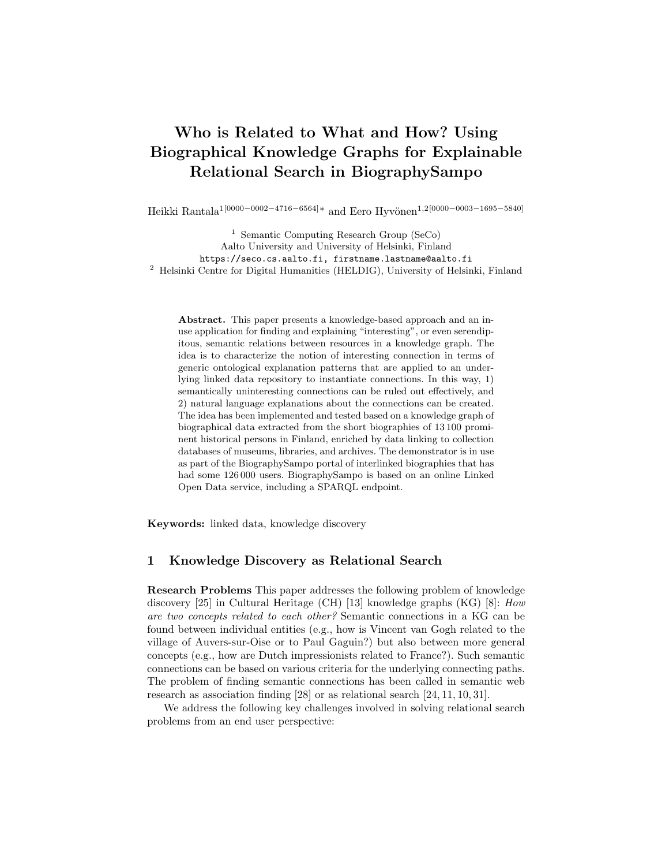# Who is Related to What and How? Using Biographical Knowledge Graphs for Explainable Relational Search in BiographySampo

Heikki Rantala<sup>1</sup>[0000−0002−4716−6564]\* and Eero Hyvönen<sup>1,2</sup>[0000−0003−1695−5840]

<sup>1</sup> Semantic Computing Research Group (SeCo) Aalto University and University of Helsinki, Finland https://seco.cs.aalto.fi, firstname.lastname@aalto.fi <sup>2</sup> Helsinki Centre for Digital Humanities (HELDIG), University of Helsinki, Finland

Abstract. This paper presents a knowledge-based approach and an inuse application for finding and explaining "interesting", or even serendipitous, semantic relations between resources in a knowledge graph. The idea is to characterize the notion of interesting connection in terms of generic ontological explanation patterns that are applied to an underlying linked data repository to instantiate connections. In this way, 1) semantically uninteresting connections can be ruled out effectively, and 2) natural language explanations about the connections can be created. The idea has been implemented and tested based on a knowledge graph of biographical data extracted from the short biographies of 13 100 prominent historical persons in Finland, enriched by data linking to collection databases of museums, libraries, and archives. The demonstrator is in use as part of the BiographySampo portal of interlinked biographies that has had some 126 000 users. BiographySampo is based on an online Linked Open Data service, including a SPARQL endpoint.

Keywords: linked data, knowledge discovery

## 1 Knowledge Discovery as Relational Search

Research Problems This paper addresses the following problem of knowledge discovery [25] in Cultural Heritage (CH) [13] knowledge graphs (KG) [8]:  $How$ are two concepts related to each other? Semantic connections in a KG can be found between individual entities (e.g., how is Vincent van Gogh related to the village of Auvers-sur-Oise or to Paul Gaguin?) but also between more general concepts (e.g., how are Dutch impressionists related to France?). Such semantic connections can be based on various criteria for the underlying connecting paths. The problem of finding semantic connections has been called in semantic web research as association finding [28] or as relational search [24, 11, 10, 31].

We address the following key challenges involved in solving relational search problems from an end user perspective: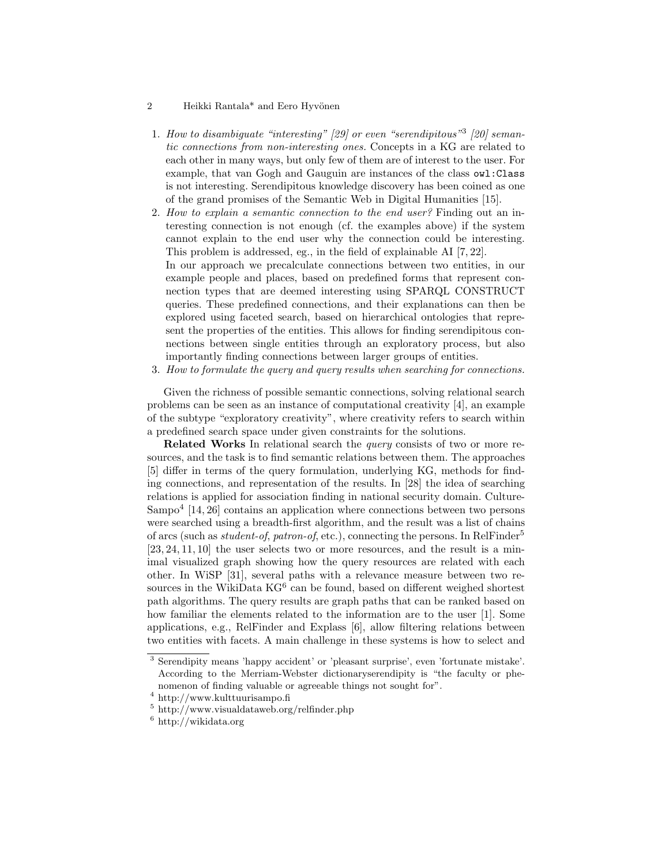- 2 Heikki Rantala\* and Eero Hyvönen
- 1. How to disambiguate "interesting" [29] or even "serendipitous" [20] semantic connections from non-interesting ones. Concepts in a KG are related to each other in many ways, but only few of them are of interest to the user. For example, that van Gogh and Gauguin are instances of the class owl:Class is not interesting. Serendipitous knowledge discovery has been coined as one of the grand promises of the Semantic Web in Digital Humanities [15].
- 2. How to explain a semantic connection to the end user? Finding out an interesting connection is not enough (cf. the examples above) if the system cannot explain to the end user why the connection could be interesting. This problem is addressed, eg., in the field of explainable AI [7, 22]. In our approach we precalculate connections between two entities, in our example people and places, based on predefined forms that represent connection types that are deemed interesting using SPARQL CONSTRUCT queries. These predefined connections, and their explanations can then be explored using faceted search, based on hierarchical ontologies that represent the properties of the entities. This allows for finding serendipitous connections between single entities through an exploratory process, but also importantly finding connections between larger groups of entities.
- 3. How to formulate the query and query results when searching for connections.

Given the richness of possible semantic connections, solving relational search problems can be seen as an instance of computational creativity [4], an example of the subtype "exploratory creativity", where creativity refers to search within a predefined search space under given constraints for the solutions.

Related Works In relational search the query consists of two or more resources, and the task is to find semantic relations between them. The approaches [5] differ in terms of the query formulation, underlying KG, methods for finding connections, and representation of the results. In [28] the idea of searching relations is applied for association finding in national security domain. Culture-Sampo<sup>4</sup> [14, 26] contains an application where connections between two persons were searched using a breadth-first algorithm, and the result was a list of chains of arcs (such as *student-of, patron-of, etc.)*, connecting the persons. In RelFinder<sup>5</sup> [23, 24, 11, 10] the user selects two or more resources, and the result is a minimal visualized graph showing how the query resources are related with each other. In WiSP [31], several paths with a relevance measure between two resources in the WikiData KG<sup>6</sup> can be found, based on different weighed shortest path algorithms. The query results are graph paths that can be ranked based on how familiar the elements related to the information are to the user [1]. Some applications, e.g., RelFinder and Explass [6], allow filtering relations between two entities with facets. A main challenge in these systems is how to select and

<sup>3</sup> Serendipity means 'happy accident' or 'pleasant surprise', even 'fortunate mistake'. According to the Merriam-Webster dictionaryserendipity is "the faculty or phenomenon of finding valuable or agreeable things not sought for".

 $^4$ http://www.kulttuurisampo.fi

 $5 \text{ http://www.visualdataweb.org/refinder.php}$ 

 $^6$ http://wikidata.org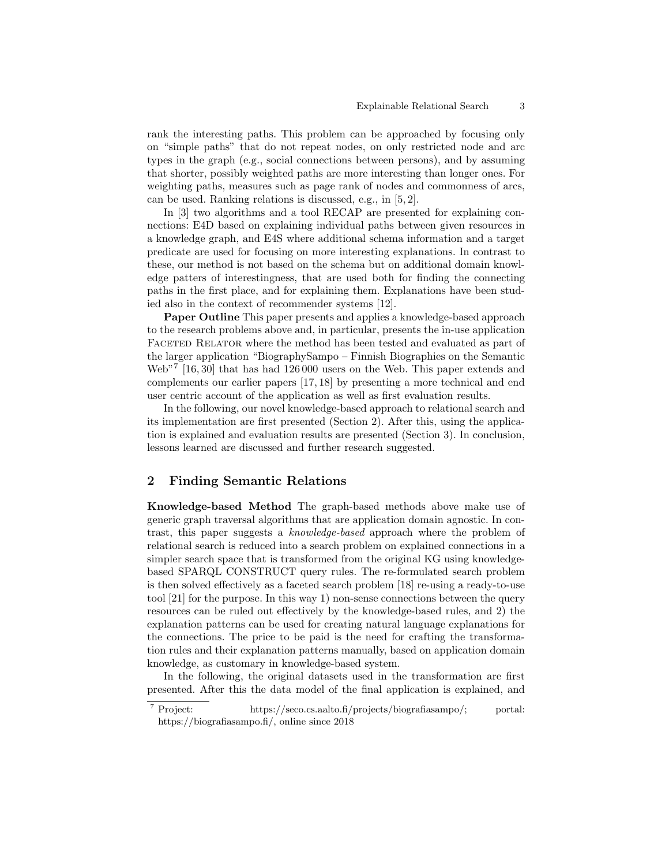rank the interesting paths. This problem can be approached by focusing only on "simple paths" that do not repeat nodes, on only restricted node and arc types in the graph (e.g., social connections between persons), and by assuming that shorter, possibly weighted paths are more interesting than longer ones. For weighting paths, measures such as page rank of nodes and commonness of arcs, can be used. Ranking relations is discussed, e.g., in [5, 2].

In [3] two algorithms and a tool RECAP are presented for explaining connections: E4D based on explaining individual paths between given resources in a knowledge graph, and E4S where additional schema information and a target predicate are used for focusing on more interesting explanations. In contrast to these, our method is not based on the schema but on additional domain knowledge patters of interestingness, that are used both for finding the connecting paths in the first place, and for explaining them. Explanations have been studied also in the context of recommender systems [12].

Paper Outline This paper presents and applies a knowledge-based approach to the research problems above and, in particular, presents the in-use application FACETED RELATOR where the method has been tested and evaluated as part of the larger application "BiographySampo – Finnish Biographies on the Semantic Web"<sup>7</sup> [16, 30] that has had 126 000 users on the Web. This paper extends and complements our earlier papers [17, 18] by presenting a more technical and end user centric account of the application as well as first evaluation results.

In the following, our novel knowledge-based approach to relational search and its implementation are first presented (Section 2). After this, using the application is explained and evaluation results are presented (Section 3). In conclusion, lessons learned are discussed and further research suggested.

## 2 Finding Semantic Relations

Knowledge-based Method The graph-based methods above make use of generic graph traversal algorithms that are application domain agnostic. In contrast, this paper suggests a knowledge-based approach where the problem of relational search is reduced into a search problem on explained connections in a simpler search space that is transformed from the original KG using knowledgebased SPARQL CONSTRUCT query rules. The re-formulated search problem is then solved effectively as a faceted search problem [18] re-using a ready-to-use tool [21] for the purpose. In this way 1) non-sense connections between the query resources can be ruled out effectively by the knowledge-based rules, and 2) the explanation patterns can be used for creating natural language explanations for the connections. The price to be paid is the need for crafting the transformation rules and their explanation patterns manually, based on application domain knowledge, as customary in knowledge-based system.

In the following, the original datasets used in the transformation are first presented. After this the data model of the final application is explained, and

<sup>7</sup> Project: https://seco.cs.aalto.fi/projects/biografiasampo/; portal: https://biografiasampo.fi/, online since 2018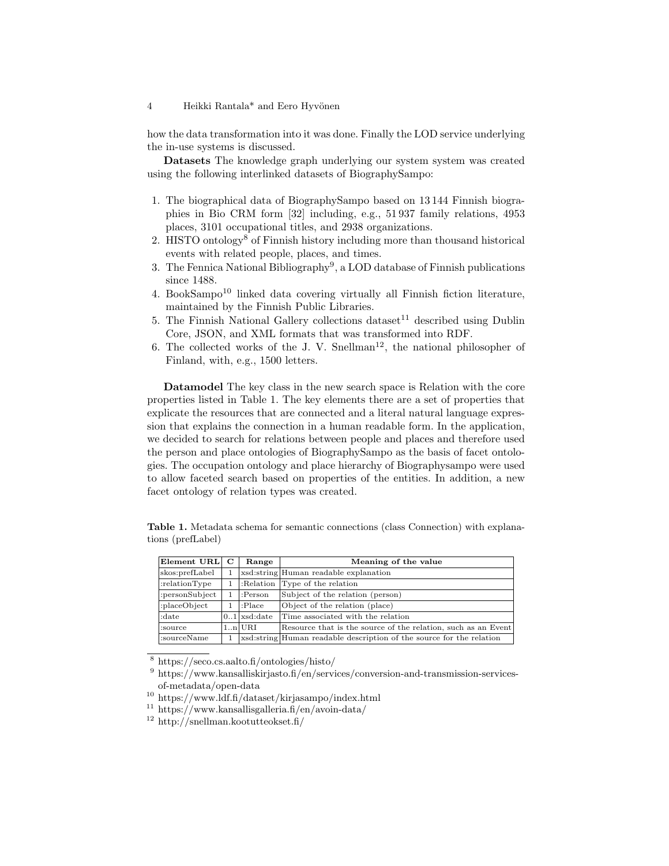#### 4 Heikki Rantala<sup>\*</sup> and Eero Hyvönen

how the data transformation into it was done. Finally the LOD service underlying the in-use systems is discussed.

Datasets The knowledge graph underlying our system system was created using the following interlinked datasets of BiographySampo:

- 1. The biographical data of BiographySampo based on 13 144 Finnish biographies in Bio CRM form [32] including, e.g., 51 937 family relations, 4953 places, 3101 occupational titles, and 2938 organizations.
- 2. HISTO ontology<sup>8</sup> of Finnish history including more than thousand historical events with related people, places, and times.
- 3. The Fennica National Bibliography<sup>9</sup>, a LOD database of Finnish publications since 1488.
- 4. BookSampo<sup>10</sup> linked data covering virtually all Finnish fiction literature, maintained by the Finnish Public Libraries.
- 5. The Finnish National Gallery collections dataset<sup>11</sup> described using Dublin Core, JSON, and XML formats that was transformed into RDF.
- 6. The collected works of the J. V. Snellman<sup>12</sup>, the national philosopher of Finland, with, e.g., 1500 letters.

Datamodel The key class in the new search space is Relation with the core properties listed in Table 1. The key elements there are a set of properties that explicate the resources that are connected and a literal natural language expression that explains the connection in a human readable form. In the application, we decided to search for relations between people and places and therefore used the person and place ontologies of BiographySampo as the basis of facet ontologies. The occupation ontology and place hierarchy of Biographysampo were used to allow faceted search based on properties of the entities. In addition, a new facet ontology of relation types was created.

Table 1. Metadata schema for semantic connections (class Connection) with explanations (prefLabel)

| Element URL     | C | Range          | Meaning of the value                                                 |  |
|-----------------|---|----------------|----------------------------------------------------------------------|--|
| skos: prefLabel |   |                | xsd:string Human readable explanation                                |  |
| :relationType   |   |                | :Relation Type of the relation                                       |  |
| :personSubject  |   | :Person        | Subject of the relation (person)                                     |  |
| :placeObject    |   | :Place         | Object of the relation (place)                                       |  |
| :date           |   | $0.1$ xsd:date | Time associated with the relation                                    |  |
| :source         |   | 1.n URI        | Resource that is the source of the relation, such as an Event        |  |
| :sourceName     |   |                | xsd:string Human readable description of the source for the relation |  |

<sup>8</sup> https://seco.cs.aalto.fi/ontologies/histo/

- $11 \text{ https://www.kansallisgalleria.fi/en/avoin-data/}$
- $12 \text{ http://snellman.kootutteokset.fi/}$

<sup>&</sup>lt;sup>9</sup> https://www.kansalliskirjasto.fi/en/services/conversion-and-transmission-servicesof-metadata/open-data

<sup>10</sup> https://www.ldf.fi/dataset/kirjasampo/index.html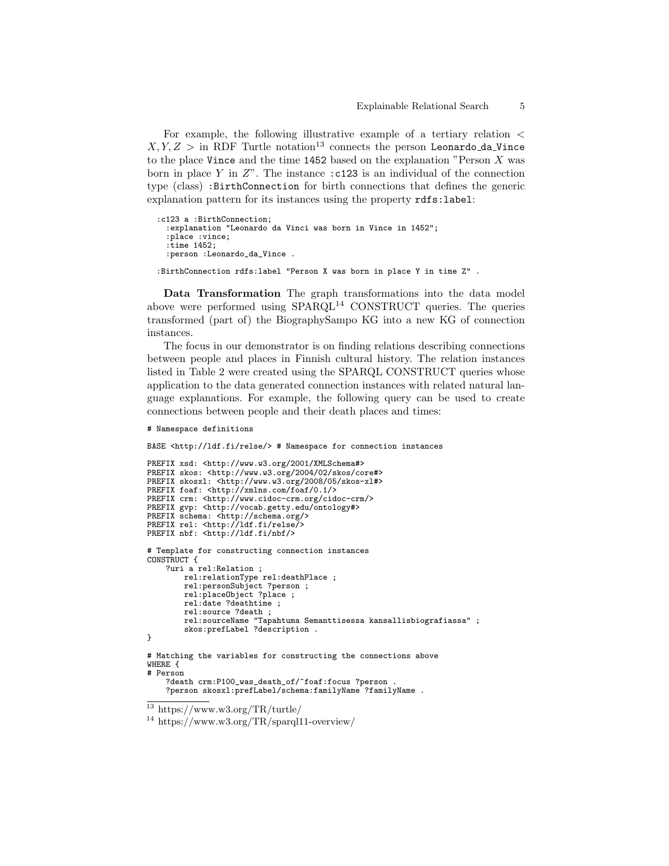For example, the following illustrative example of a tertiary relation  $\lt$  $X, Y, Z >$  in RDF Turtle notation<sup>13</sup> connects the person Leonardo\_da\_Vince to the place Vince and the time 1452 based on the explanation "Person  $X$  was born in place Y in  $Z$ ". The instance :c123 is an individual of the connection type (class) :BirthConnection for birth connections that defines the generic explanation pattern for its instances using the property rdfs:label:

```
:c123 a :BirthConnection;
  :explanation "Leonardo da Vinci was born in Vince in 1452";
  :place :vince;
  :time 1452;
  :person :Leonardo_da_Vince .
```
:BirthConnection rdfs:label "Person X was born in place Y in time Z" .

Data Transformation The graph transformations into the data model above were performed using  $SPARCL<sup>14</sup>$  CONSTRUCT queries. The queries transformed (part of) the BiographySampo KG into a new KG of connection instances.

The focus in our demonstrator is on finding relations describing connections between people and places in Finnish cultural history. The relation instances listed in Table 2 were created using the SPARQL CONSTRUCT queries whose application to the data generated connection instances with related natural language explanations. For example, the following query can be used to create connections between people and their death places and times:

```
# Namespace definitions
```

```
BASE <http://ldf.fi/relse/> # Namespace for connection instances
```

```
PREFIX xsd: <http://www.w3.org/2001/XMLSchema#>
PREFIX skos: <http://www.w3.org/2004/02/skos/core#>
PREFIX skosxl: <http://www.w3.org/2008/05/skos-xl#>
PREFIX foaf: <http://xmlns.com/foaf/0.1/>
PREFIX crm: <http://www.cidoc-crm.org/cidoc-crm/>
PREFIX gvp: <http://vocab.getty.edu/ontology#>
PREFIX schema: <http://schema.org/>
PREFIX rel: <http://ldf.fi/relse/>
PREFIX nbf: <http://ldf.fi/nbf/>
# Template for constructing connection instances
CONSTRUCT {
    ?uri a rel:Relation ;
       rel:relationType rel:deathPlace ;
       rel:personSubject ?person ;
       rel:placeObject ?place ;
       rel:date ?deathtime ;
        rel:source ?death ;
       rel:sourceName "Tapahtuma Semanttisessa kansallisbiografiassa" ;
        skos:prefLabel ?description .
}
# Matching the variables for constructing the connections above
```
WHERE { # Person

<sup>?</sup>death crm:P100\_was\_death\_of/^foaf:focus ?person . ?person skosxl:prefLabel/schema:familyName ?familyName .

<sup>13</sup> https://www.w3.org/TR/turtle/

<sup>14</sup> https://www.w3.org/TR/sparql11-overview/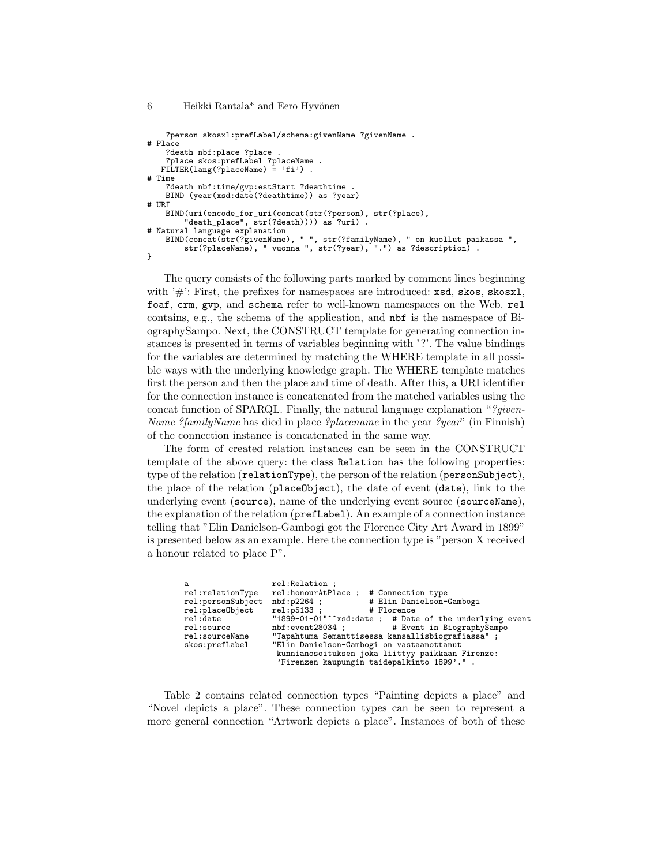```
6 Heikki Rantala* and Eero Hyvönen
```

```
?person skosxl:prefLabel/schema:givenName ?givenName .
# Place
    ?death nbf:place ?place
   ?place skos:prefLabel ?placeName .
FILTER(lang(?placeName) = 'fi') .
# Time
    ?death nbf:time/gvp:estStart ?deathtime
    BIND (year(xsd:date(?deathtime)) as ?year)
# URI
    BIND(uri(encode_for_uri(concat(str(?person), str(?place),
         "death_place", str(?death)))) as ?uri) .
# Natural language explanation
    BIND(concat(str(?givenName), " ", str(?familyName), " on kuollut paikassa ",
        str(?placeName), " vuonna ", str(?year), ".") as ?description) .
}
```
The query consists of the following parts marked by comment lines beginning with  $\dddot{\#}$ : First, the prefixes for namespaces are introduced: xsd, skos, skosxl, foaf, crm, gvp, and schema refer to well-known namespaces on the Web. rel contains, e.g., the schema of the application, and nbf is the namespace of BiographySampo. Next, the CONSTRUCT template for generating connection instances is presented in terms of variables beginning with '?'. The value bindings for the variables are determined by matching the WHERE template in all possible ways with the underlying knowledge graph. The WHERE template matches first the person and then the place and time of death. After this, a URI identifier for the connection instance is concatenated from the matched variables using the concat function of SPARQL. Finally, the natural language explanation "?*given*-Name ?familyName has died in place ?placename in the year ?year" (in Finnish) of the connection instance is concatenated in the same way.

The form of created relation instances can be seen in the CONSTRUCT template of the above query: the class Relation has the following properties: type of the relation (relationType), the person of the relation (personSubject), the place of the relation (placeObject), the date of event (date), link to the underlying event (source), name of the underlying event source (sourceName), the explanation of the relation (prefLabel). An example of a connection instance telling that "Elin Danielson-Gambogi got the Florence City Art Award in 1899" is presented below as an example. Here the connection type is "person X received a honour related to place P".

| a                 | rel: Relation ;                                                     |  |  |  |  |  |
|-------------------|---------------------------------------------------------------------|--|--|--|--|--|
| rel:relationType  | rel:honourAtPlace ; # Connection type                               |  |  |  |  |  |
| rel:personSubject | # Elin Danielson-Gambogi<br>nbf:p2264 ;                             |  |  |  |  |  |
| rel:placeObject   | $rel: p5133$ ;<br># Florence                                        |  |  |  |  |  |
| rel:date          | "1899-01-01" <sup>-</sup> "xsd:date; # Date of the underlying event |  |  |  |  |  |
| rel:source        | nbf:event28034; # Event in BiographySampo                           |  |  |  |  |  |
| rel:sourceName    | "Tapahtuma Semanttisessa kansallisbiografiassa";                    |  |  |  |  |  |
| skos:prefLabel    | "Elin Danielson-Gambogi on vastaanottanut                           |  |  |  |  |  |
|                   | kunnianosoituksen joka liittyy paikkaan Firenze:                    |  |  |  |  |  |
|                   | 'Firenzen kaupungin taidepalkinto 1899'.".                          |  |  |  |  |  |

Table 2 contains related connection types "Painting depicts a place" and "Novel depicts a place". These connection types can be seen to represent a more general connection "Artwork depicts a place". Instances of both of these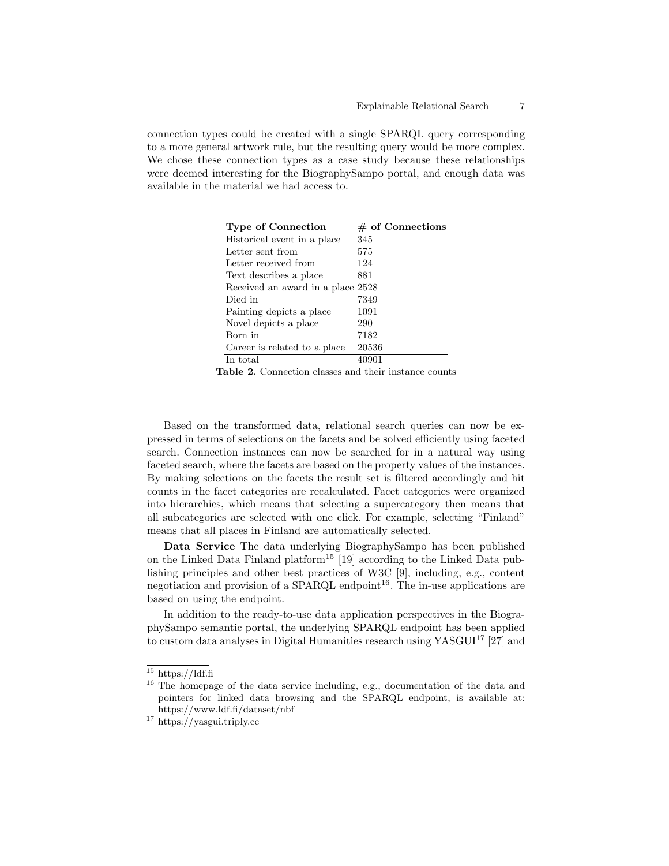connection types could be created with a single SPARQL query corresponding to a more general artwork rule, but the resulting query would be more complex. We chose these connection types as a case study because these relationships were deemed interesting for the BiographySampo portal, and enough data was available in the material we had access to.

| <b>Type of Connection</b>    | $#$ of Connections |
|------------------------------|--------------------|
| Historical event in a place  | 345                |
| Letter sent from             | 575                |
| Letter received from         | 124                |
| Text describes a place       | 881                |
| Received an award in a place | 2528               |
| Died in                      | 7349               |
| Painting depicts a place     | 1091               |
| Novel depicts a place        | 290                |
| Born in                      | 7182               |
| Career is related to a place | 20536              |
| In total                     |                    |

Table 2. Connection classes and their instance counts

Based on the transformed data, relational search queries can now be expressed in terms of selections on the facets and be solved efficiently using faceted search. Connection instances can now be searched for in a natural way using faceted search, where the facets are based on the property values of the instances. By making selections on the facets the result set is filtered accordingly and hit counts in the facet categories are recalculated. Facet categories were organized into hierarchies, which means that selecting a supercategory then means that all subcategories are selected with one click. For example, selecting "Finland" means that all places in Finland are automatically selected.

Data Service The data underlying BiographySampo has been published on the Linked Data Finland platform<sup>15</sup> [19] according to the Linked Data publishing principles and other best practices of W3C [9], including, e.g., content negotiation and provision of a SPARQL endpoint<sup>16</sup>. The in-use applications are based on using the endpoint.

In addition to the ready-to-use data application perspectives in the BiographySampo semantic portal, the underlying SPARQL endpoint has been applied to custom data analyses in Digital Humanities research using  $YASGUI<sup>17</sup> [27]$  and

 $15$  https://ldf.fi

<sup>&</sup>lt;sup>16</sup> The homepage of the data service including, e.g., documentation of the data and pointers for linked data browsing and the SPARQL endpoint, is available at: https://www.ldf.fi/dataset/nbf

<sup>17</sup> https://yasgui.triply.cc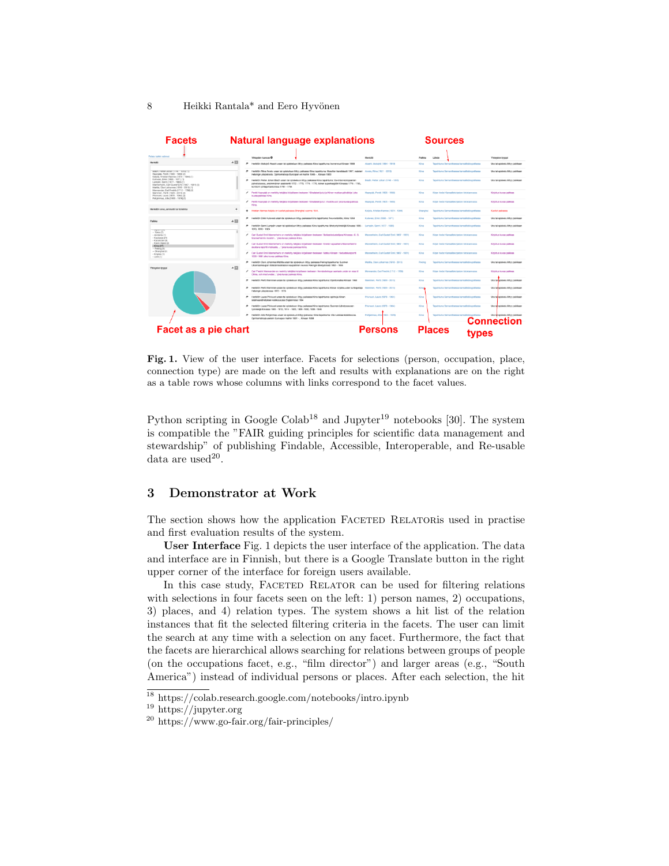8 Heikki Rantala<sup>\*</sup> and Eero Hyvönen

| <b>Facets</b>                                                                                                                                                     |              | <b>Natural language explanations</b>                                                                                                                                                                                                                               |                                                      | Sources                                                 |                                                        |
|-------------------------------------------------------------------------------------------------------------------------------------------------------------------|--------------|--------------------------------------------------------------------------------------------------------------------------------------------------------------------------------------------------------------------------------------------------------------------|------------------------------------------------------|---------------------------------------------------------|--------------------------------------------------------|
| Projeta kalidó valonce                                                                                                                                            |              | Yhteyden kuvaus ®                                                                                                                                                                                                                                                  | <b>Henkill</b>                                       | 1.00vlin<br>Palkka                                      | Yhteyden tyyppi                                        |
| <b>Menkilő</b>                                                                                                                                                    | $A \Box$     | Herällön Motojnö Akashi ursan tai opiskaluun liittyy paikassa Kiina tapahtuma: komennus Kiinaan 1900                                                                                                                                                               | Akashi, Molojirô (1864 - 1919)<br>King               | Tapahtuma Semanttisessa kansallabiografiassa            | Una fai opiskelu lilityy palkkaan                      |
| USBOX, PWDR JONBS (1740 - 1819) (1)<br>Haarplik, Pentl (1905 - 1955) (2)<br>Kelicka, Kristian Hannes (1874 - 1944) (1)                                            |              | Heráličn Ritus Arvelo ursan tal opiskekaan littyv palkassa Kiina tapahtuma: filosofian kandidaatti 1947, maisteri Arvelo, Ritus (1921 - 2013)<br>$\bullet$<br>Helsingin yliopistosta. Opintomatkoja Euroopan eri maihin 1946 - , Klinaan 1953                      | Kira                                                 | Tapahtuma Semanttisessa kansalisbiografiassa            | Una tai coisieriu liittyy paikkaan                     |
| Kulovesi, Enki (1895 - 1971) (1)<br>Lampén, Sanni (1877 - 1965) (1)<br>Mannerheim, Carl Gustaf Erni (1867 - 1951) (3)<br>Mattia, Clavi Johannes (1918 - 2013) (1) |              | Herkülön Petter Johan Blach ursen tai opiskeluun littyy paikassa Kiina tapahtuma: Itä-Intian kompoanian<br>palvelukseess, ensimmäinen assistentti 1772 - 1773, 1774 - 1775, toinen superkarphöri Kiinassa 1776 - 1783,<br>konttorin johtaja Kantonissa 1781 - 1784 | Bladh, Petter Johan (1746 - 1816)<br>Kira            | Tagahtuma Sementtisessa kansallabiografiassa            | Ura tai coisielu littyy paikkaan                       |
| Mennander, Carl Fredrik (1712 - 1786) (1)<br>Nieminen, Pertti (1929 - 2015) (2)<br>Ph/vuori, Laura (1878 - 1964) (2)<br>Pohjanmas, Atte (1903 - 1976) (1)         |              | ◢<br>Pentti Haanziliä on merkitty tekijäksi kirjalliseen teokseen 'Kiinsisiset kitut ja Kiinan-matkan päiväkirja' koka<br>kuusa paldoss Kiirva.                                                                                                                    | Hampte, Pentt (1905 - 1955)<br>King                  | Kirian Sedot Kansaliskiriaston tietokannassa            | Kiriohan kuyaa paikkaa                                 |
|                                                                                                                                                                   |              | Penti Haanpää on merkitty tekijäksi kirjalliseen teokseen 'Kiinsisiset jutut : mulstikuuta' joka kuusa paikkaa<br>Kins.                                                                                                                                            | Haanpää, Pentti (1905 - 1955)<br>King                | Kirjan tiedot Kansaliskirjaston tietokannassa           | Kirjohus kuvaa paikkaa                                 |
| Henkilön arvo, ammatti tai toiminta                                                                                                                               | ٠            | Kristian Hannes Keljola on kuollut paikassa Shanghai vuonna 1944.<br>$\ddot{}$                                                                                                                                                                                     | Keijola, Kristian Hannes (1874 - 1944)               | Tapahtuma Semanttisessa kansalisbiografassa<br>Shanghai | Kuolkit pakassa                                        |
| Palkka                                                                                                                                                            | $A \Box$     | / Herädön Erial Kulovesi uraan tai opiskekuun liittyy paikassa Kiina tapahtuma: Neuvostoliitto, Kiina 1958                                                                                                                                                         | Kukovasi, Erkki (1895 - 1971)<br>Kina                | Tapahtuma Semanttisessa kansalisbiografiassa            | Ura tai opiskelu liittyy paikkaan                      |
| THREATED VIOL                                                                                                                                                     |              | Herällön Sanni Lampén uraan tai opiskeluun liittyy paikassa Kiina tapahtuma: lähetystyöntekijä Kiinaasa 1906 - Lampén, Sanni (1877 - 1965)<br>$\bullet$<br>1915, 1916 - 1924                                                                                       | Kira                                                 | Tapahtuma Semanttisessa kansalisbiografiassa            | Ura tal opiskelu lilityy palkkaan                      |
| $-$ Tokio (7)<br>- Jondania (1)<br>- Kaukasia (21)<br>- Kazakstan (3)                                                                                             |              | Carl Gustaf Emil Mannerheim on merkitty tekläksi kirjaliseen teokseen "Sotilastiedustellana Kiinassa : C. G.<br>Mannerheimin muletiin, koka kuuaa paikkaa Kiina.                                                                                                   | Mannerheim, Carl Guetaf Fmil (1867 - 1951)<br>King   | Kirian tiedot Kansaliskiriaston tietokannassa           | Kiriohus kuyaa palkkaa                                 |
| - Keski-Aasia (2)<br>$-N$ ira (27)<br>$-$ Pelding (4)                                                                                                             |              | Carl Gustaf Emil Mannerheim on merkitty tekijäksi kirjaliseen teokseen 'Eversti vapaaherra Mannerheimin<br>alustava raportti matkasta,  ' joka kuvaa paikkaa Kiina.                                                                                                | Mannerheim, Carl Gustaf Emil (1867 - 1951)<br>Kina   | Kirjan tiedot Kansaliskirjaston tietokannassa           | Kirjohus kuvaa paikkaa                                 |
| $-$ Shanghai (1)<br>- Kingisia (1)<br>$-$ Laos (1)                                                                                                                |              | Carl Gustaf Fmil Mannetheim on merkity teklikki kirjaliseen teokseen "Matka Kinaan : tiedustek rapprtti<br>$\overline{\phantom{a}}$<br>1906-1908' icks kuyaa pakkaa Kiina                                                                                          | Mannerheim, Carl Gustaf Freil (1867 - 1951).<br>Kina | Kirian Sedat Kansaliskirketon tietokannassa             | Kiriohus kuvaa paikkaa                                 |
| Yhteyden tyyppi                                                                                                                                                   | $\triangleq$ | Herällön Olavi Johannes Mattila uraan tai opiskekuun liittyy paikassa Peking tapahtuma: Suomen<br>$\overline{p}$<br>Ulkomaankaupan Edistämisrahaston kaupailinen neuvos Pekingin lähetystössä 1952 - 1956                                                          | Mattila, Olavi Johannes (1918 - 2013)<br>Peking      | Topahtuma Semanttisessa kansalisitiografiassa           | Ura tai opiskelu liittyy paikkaan                      |
|                                                                                                                                                                   |              | Carl Fredrik Mennander on morkity tokidiksi kirialiseen teoloseen 'Annärckningar samiade under en resa til<br>China, och med weder ' joka kuvaa paikkaa Kiina.                                                                                                     | Mennander, Carl Fredrik (1712 - 1786)<br>Kine        | Kirian tiedot Kansaliiskiriaston tietokannassa          | Kiriohus kuvaa paikkaa                                 |
|                                                                                                                                                                   |              | /P Herädion Pertti Nieminen urgan tai opiskeluun littyy paikassa Kiina tapahtuma: Opintomatka Kiinaan 1960                                                                                                                                                         | Naminan, Perts (1929 - 2015)<br>Kine                 | Topahtuma Semanttisessa kansalisbiografiassa            | Ura tai zoiskelu liittyv paikkaan                      |
|                                                                                                                                                                   |              | $\bullet$<br>Herällön Pertti Nieminen uraan tai opiskeluun liittyy paikassa Kiina tapahtuma: Kiinan kirjallisuuden tuntiopetaja Nieminen, Pertti (1929 - 2015)<br>Helsingin vilopistossa 1972 - 1976                                                               | King.                                                | Topahtuma Semanttisessa kansalisbiografiassa            | Ura tai noiskelu liittyy paikkaan                      |
|                                                                                                                                                                   |              | Herkličn Laura Pilvivuori uraan tai opiskeluun liittyy paikassa Kiina tapahtuma: opintoja Kiinan<br>$\bullet$<br>sisämaanlähetyksen kielikoulussa Englannissa 1904                                                                                                 | Pilviuori, Laura (1878 - 1964)<br>Kina               | Tapahtuma Semanttisessa kansalisitiografiassa           | Ura ta coiskelu liitty pakkaan                         |
|                                                                                                                                                                   |              | Herköön Laura Pilvivuori uraan tai opiskeluun liittyy paikassa Kiina tapahtuma: Suomen Lähetysseuran<br>$\bullet$<br>työntekijä Kiinassa 1905 - 1912, 1914 - 1923, 1926 - 1930, 1936 - 1946                                                                        | Pilviuori, Laura (1878 - 1964)<br>King               | Topahtuma Semanttisessa kansalisitiografiassa           | Ura ta coiskelu liittyy paikkaan                       |
|                                                                                                                                                                   |              | Herällön Atte Pohjanmas uraan tai opiskeluun liittyy paikassa Kiina tapahtuma: Viisi luokkaa keskikoulua.<br>Opintomatkoja useisiin Euroopan maihin 1931 - , Kiinaan 1958                                                                                          | Pohjasmaa, Alto 1903 - 1976<br>King                  | Topahtuma Semanttisessa kansalisitioorafiassa           | Ura tai opiskalu liittyy paikkaan<br><b>Connection</b> |
| Facet as a pie chart                                                                                                                                              |              |                                                                                                                                                                                                                                                                    | <b>Persons</b>                                       | <b>Places</b>                                           |                                                        |
|                                                                                                                                                                   |              |                                                                                                                                                                                                                                                                    |                                                      | vpes                                                    |                                                        |

Fig. 1. View of the user interface. Facets for selections (person, occupation, place, connection type) are made on the left and results with explanations are on the right as a table rows whose columns with links correspond to the facet values.

Python scripting in Google Colab<sup>18</sup> and Jupyter<sup>19</sup> notebooks [30]. The system is compatible the "FAIR guiding principles for scientific data management and stewardship" of publishing Findable, Accessible, Interoperable, and Re-usable data are used<sup>20</sup>.

## 3 Demonstrator at Work

The section shows how the application FACETED RELATORIS used in practise and first evaluation results of the system.

User Interface Fig. 1 depicts the user interface of the application. The data and interface are in Finnish, but there is a Google Translate button in the right upper corner of the interface for foreign users available.

In this case study, FACETED RELATOR can be used for filtering relations with selections in four facets seen on the left: 1) person names, 2) occupations, 3) places, and 4) relation types. The system shows a hit list of the relation instances that fit the selected filtering criteria in the facets. The user can limit the search at any time with a selection on any facet. Furthermore, the fact that the facets are hierarchical allows searching for relations between groups of people (on the occupations facet, e.g., "film director") and larger areas (e.g., "South America") instead of individual persons or places. After each selection, the hit

<sup>18</sup> https://colab.research.google.com/notebooks/intro.ipynb

<sup>19</sup> https://jupyter.org

<sup>20</sup> https://www.go-fair.org/fair-principles/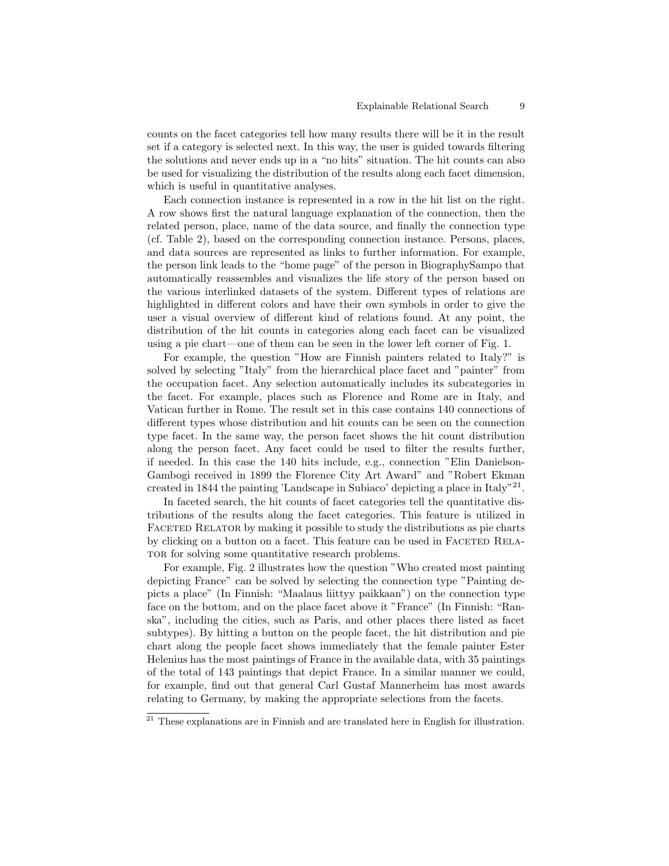counts on the facet categories tell how many results there will be it in the result set if a category is selected next. In this way, the user is guided towards filtering the solutions and never ends up in a "no hits" situation. The hit counts can also be used for visualizing the distribution of the results along each facet dimension, which is useful in quantitative analyses.

Each connection instance is represented in a row in the hit list on the right. A row shows first the natural language explanation of the connection, then the related person, place, name of the data source, and finally the connection type (cf. Table 2), based on the corresponding connection instance. Persons, places, and data sources are represented as links to further information. For example, the person link leads to the "home page" of the person in BiographySampo that automatically reassembles and visualizes the life story of the person based on the various interlinked datasets of the system. Different types of relations are highlighted in different colors and have their own symbols in order to give the user a visual overview of different kind of relations found. At any point, the distribution of the hit counts in categories along each facet can be visualized using a pie chart—one of them can be seen in the lower left corner of Fig. 1.

For example, the question "How are Finnish painters related to Italy?" is solved by selecting "Italy" from the hierarchical place facet and "painter" from the occupation facet. Any selection automatically includes its subcategories in the facet. For example, places such as Florence and Rome are in Italy, and Vatican further in Rome. The result set in this case contains 140 connections of different types whose distribution and hit counts can be seen on the connection type facet. In the same way, the person facet shows the hit count distribution along the person facet. Any facet could be used to filter the results further, if needed. In this case the 140 hits include, e.g., connection "Elin Danielson-Gambogi received in 1899 the Florence City Art Award" and "Robert Ekman created in 1844 the painting 'Landscape in Subiaco' depicting a place in Italy"<sup>21</sup>.

In faceted search, the hit counts of facet categories tell the quantitative distributions of the results along the facet categories. This feature is utilized in FACETED RELATOR by making it possible to study the distributions as pie charts by clicking on a button on a facet. This feature can be used in FACETED RELA-TOR for solving some quantitative research problems.

For example, Fig. 2 illustrates how the question "Who created most painting depicting France" can be solved by selecting the connection type "Painting depicts a place" (In Finnish: "Maalaus liittyy paikkaan") on the connection type face on the bottom, and on the place facet above it "France" (In Finnish: "Ranska", including the cities, such as Paris, and other places there listed as facet subtypes). By hitting a button on the people facet, the hit distribution and pie chart along the people facet shows immediately that the female painter Ester Helenius has the most paintings of France in the available data, with 35 paintings of the total of 143 paintings that depict France. In a similar manner we could, for example, find out that general Carl Gustaf Mannerheim has most awards relating to Germany, by making the appropriate selections from the facets.

 $21$  These explanations are in Finnish and are translated here in English for illustration.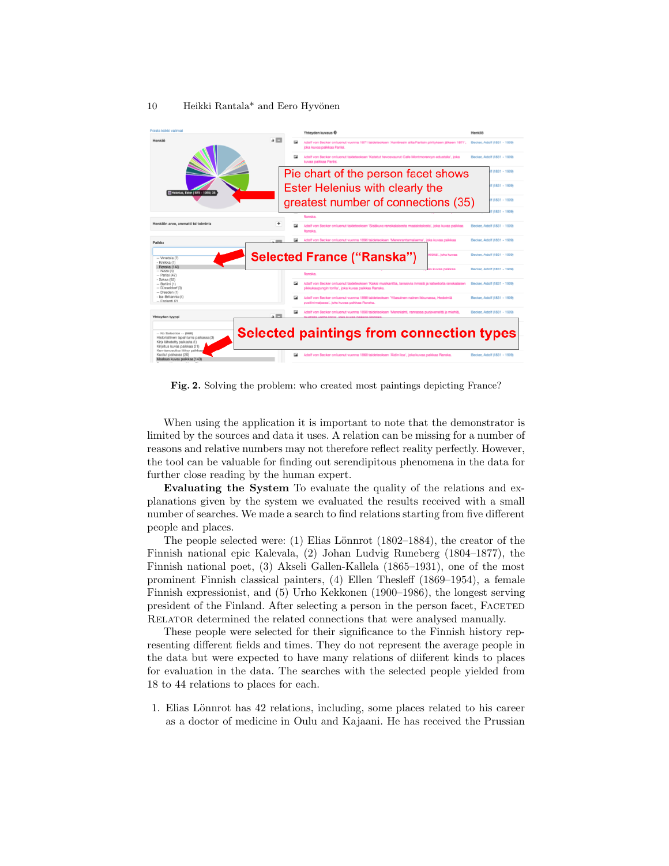### 10 Heikki Rantala\* and Eero Hyvönen



Fig. 2. Solving the problem: who created most paintings depicting France?

When using the application it is important to note that the demonstrator is limited by the sources and data it uses. A relation can be missing for a number of reasons and relative numbers may not therefore reflect reality perfectly. However, the tool can be valuable for finding out serendipitous phenomena in the data for further close reading by the human expert.

Evaluating the System To evaluate the quality of the relations and explanations given by the system we evaluated the results received with a small number of searches. We made a search to find relations starting from five different people and places.

The people selected were: (1) Elias Lönnrot  $(1802-1884)$ , the creator of the Finnish national epic Kalevala, (2) Johan Ludvig Runeberg (1804–1877), the Finnish national poet, (3) Akseli Gallen-Kallela (1865–1931), one of the most prominent Finnish classical painters, (4) Ellen Thesleff (1869–1954), a female Finnish expressionist, and (5) Urho Kekkonen (1900–1986), the longest serving president of the Finland. After selecting a person in the person facet, Faceted RELATOR determined the related connections that were analysed manually.

These people were selected for their significance to the Finnish history representing different fields and times. They do not represent the average people in the data but were expected to have many relations of diiferent kinds to places for evaluation in the data. The searches with the selected people yielded from 18 to 44 relations to places for each.

1. Elias Lönnrot has 42 relations, including, some places related to his career as a doctor of medicine in Oulu and Kajaani. He has received the Prussian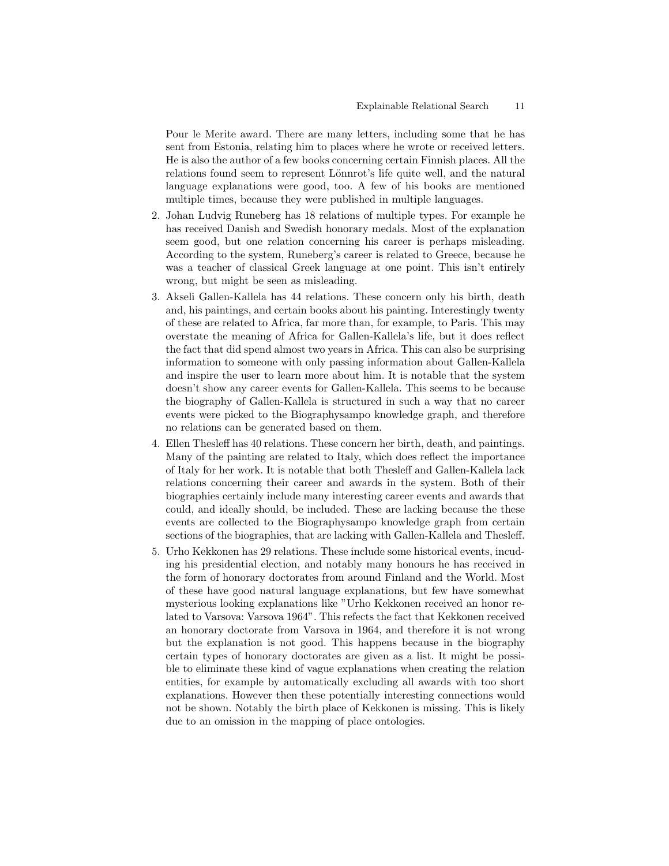Pour le Merite award. There are many letters, including some that he has sent from Estonia, relating him to places where he wrote or received letters. He is also the author of a few books concerning certain Finnish places. All the relations found seem to represent Lönnrot's life quite well, and the natural language explanations were good, too. A few of his books are mentioned multiple times, because they were published in multiple languages.

- 2. Johan Ludvig Runeberg has 18 relations of multiple types. For example he has received Danish and Swedish honorary medals. Most of the explanation seem good, but one relation concerning his career is perhaps misleading. According to the system, Runeberg's career is related to Greece, because he was a teacher of classical Greek language at one point. This isn't entirely wrong, but might be seen as misleading.
- 3. Akseli Gallen-Kallela has 44 relations. These concern only his birth, death and, his paintings, and certain books about his painting. Interestingly twenty of these are related to Africa, far more than, for example, to Paris. This may overstate the meaning of Africa for Gallen-Kallela's life, but it does reflect the fact that did spend almost two years in Africa. This can also be surprising information to someone with only passing information about Gallen-Kallela and inspire the user to learn more about him. It is notable that the system doesn't show any career events for Gallen-Kallela. This seems to be because the biography of Gallen-Kallela is structured in such a way that no career events were picked to the Biographysampo knowledge graph, and therefore no relations can be generated based on them.
- 4. Ellen Thesleff has 40 relations. These concern her birth, death, and paintings. Many of the painting are related to Italy, which does reflect the importance of Italy for her work. It is notable that both Thesleff and Gallen-Kallela lack relations concerning their career and awards in the system. Both of their biographies certainly include many interesting career events and awards that could, and ideally should, be included. These are lacking because the these events are collected to the Biographysampo knowledge graph from certain sections of the biographies, that are lacking with Gallen-Kallela and Thesleff.
- 5. Urho Kekkonen has 29 relations. These include some historical events, incuding his presidential election, and notably many honours he has received in the form of honorary doctorates from around Finland and the World. Most of these have good natural language explanations, but few have somewhat mysterious looking explanations like "Urho Kekkonen received an honor related to Varsova: Varsova 1964". This refects the fact that Kekkonen received an honorary doctorate from Varsova in 1964, and therefore it is not wrong but the explanation is not good. This happens because in the biography certain types of honorary doctorates are given as a list. It might be possible to eliminate these kind of vague explanations when creating the relation entities, for example by automatically excluding all awards with too short explanations. However then these potentially interesting connections would not be shown. Notably the birth place of Kekkonen is missing. This is likely due to an omission in the mapping of place ontologies.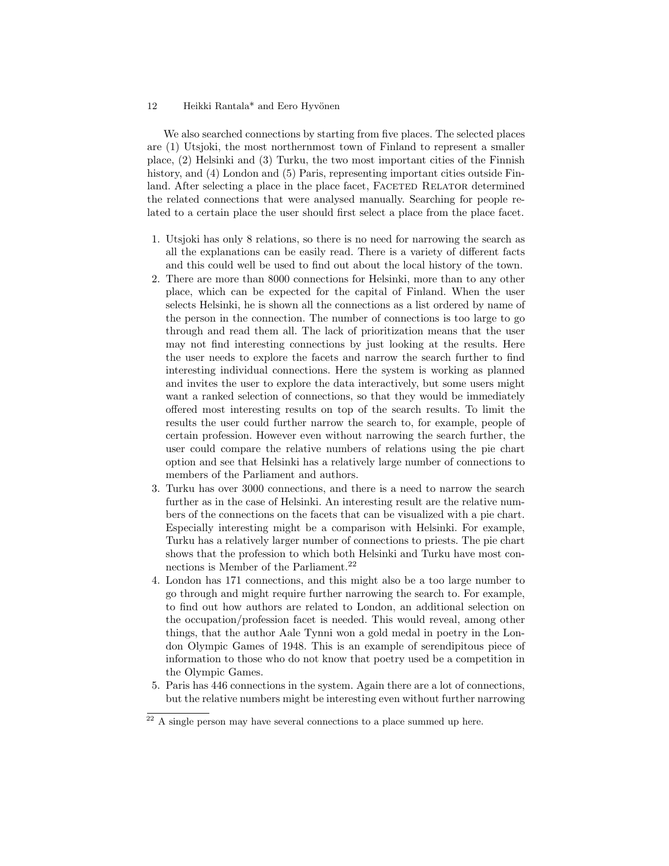#### 12 Heikki Rantala<sup>\*</sup> and Eero Hyvönen

We also searched connections by starting from five places. The selected places are (1) Utsjoki, the most northernmost town of Finland to represent a smaller place, (2) Helsinki and (3) Turku, the two most important cities of the Finnish history, and (4) London and (5) Paris, representing important cities outside Finland. After selecting a place in the place facet, FACETED RELATOR determined the related connections that were analysed manually. Searching for people related to a certain place the user should first select a place from the place facet.

- 1. Utsjoki has only 8 relations, so there is no need for narrowing the search as all the explanations can be easily read. There is a variety of different facts and this could well be used to find out about the local history of the town.
- 2. There are more than 8000 connections for Helsinki, more than to any other place, which can be expected for the capital of Finland. When the user selects Helsinki, he is shown all the connections as a list ordered by name of the person in the connection. The number of connections is too large to go through and read them all. The lack of prioritization means that the user may not find interesting connections by just looking at the results. Here the user needs to explore the facets and narrow the search further to find interesting individual connections. Here the system is working as planned and invites the user to explore the data interactively, but some users might want a ranked selection of connections, so that they would be immediately offered most interesting results on top of the search results. To limit the results the user could further narrow the search to, for example, people of certain profession. However even without narrowing the search further, the user could compare the relative numbers of relations using the pie chart option and see that Helsinki has a relatively large number of connections to members of the Parliament and authors.
- 3. Turku has over 3000 connections, and there is a need to narrow the search further as in the case of Helsinki. An interesting result are the relative numbers of the connections on the facets that can be visualized with a pie chart. Especially interesting might be a comparison with Helsinki. For example, Turku has a relatively larger number of connections to priests. The pie chart shows that the profession to which both Helsinki and Turku have most connections is Member of the Parliament.<sup>22</sup>
- 4. London has 171 connections, and this might also be a too large number to go through and might require further narrowing the search to. For example, to find out how authors are related to London, an additional selection on the occupation/profession facet is needed. This would reveal, among other things, that the author Aale Tynni won a gold medal in poetry in the London Olympic Games of 1948. This is an example of serendipitous piece of information to those who do not know that poetry used be a competition in the Olympic Games.
- 5. Paris has 446 connections in the system. Again there are a lot of connections, but the relative numbers might be interesting even without further narrowing

 $22$  A single person may have several connections to a place summed up here.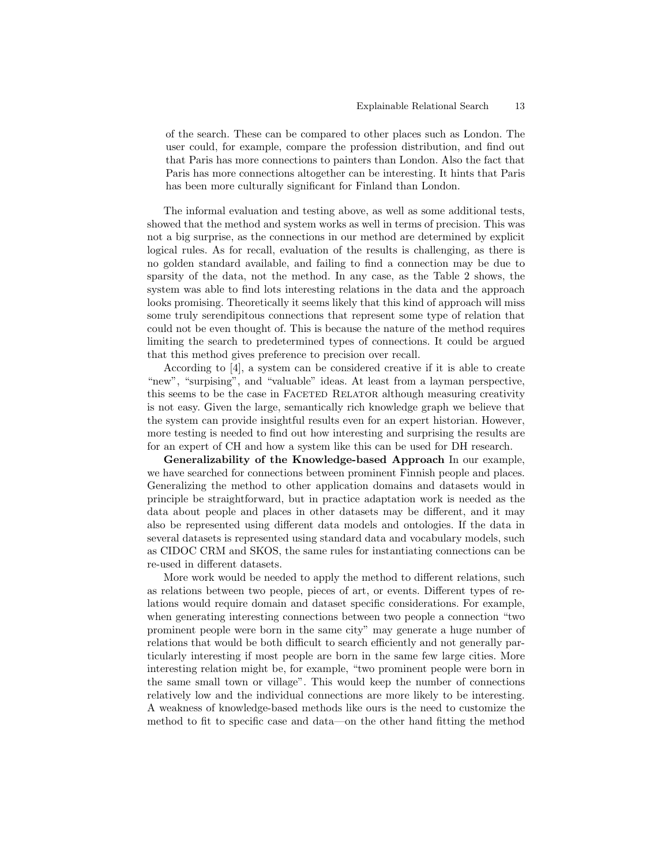of the search. These can be compared to other places such as London. The user could, for example, compare the profession distribution, and find out that Paris has more connections to painters than London. Also the fact that Paris has more connections altogether can be interesting. It hints that Paris has been more culturally significant for Finland than London.

The informal evaluation and testing above, as well as some additional tests, showed that the method and system works as well in terms of precision. This was not a big surprise, as the connections in our method are determined by explicit logical rules. As for recall, evaluation of the results is challenging, as there is no golden standard available, and failing to find a connection may be due to sparsity of the data, not the method. In any case, as the Table 2 shows, the system was able to find lots interesting relations in the data and the approach looks promising. Theoretically it seems likely that this kind of approach will miss some truly serendipitous connections that represent some type of relation that could not be even thought of. This is because the nature of the method requires limiting the search to predetermined types of connections. It could be argued that this method gives preference to precision over recall.

According to [4], a system can be considered creative if it is able to create "new", "surpising", and "valuable" ideas. At least from a layman perspective, this seems to be the case in FACETED RELATOR although measuring creativity is not easy. Given the large, semantically rich knowledge graph we believe that the system can provide insightful results even for an expert historian. However, more testing is needed to find out how interesting and surprising the results are for an expert of CH and how a system like this can be used for DH research.

Generalizability of the Knowledge-based Approach In our example, we have searched for connections between prominent Finnish people and places. Generalizing the method to other application domains and datasets would in principle be straightforward, but in practice adaptation work is needed as the data about people and places in other datasets may be different, and it may also be represented using different data models and ontologies. If the data in several datasets is represented using standard data and vocabulary models, such as CIDOC CRM and SKOS, the same rules for instantiating connections can be re-used in different datasets.

More work would be needed to apply the method to different relations, such as relations between two people, pieces of art, or events. Different types of relations would require domain and dataset specific considerations. For example, when generating interesting connections between two people a connection "two prominent people were born in the same city" may generate a huge number of relations that would be both difficult to search efficiently and not generally particularly interesting if most people are born in the same few large cities. More interesting relation might be, for example, "two prominent people were born in the same small town or village". This would keep the number of connections relatively low and the individual connections are more likely to be interesting. A weakness of knowledge-based methods like ours is the need to customize the method to fit to specific case and data—on the other hand fitting the method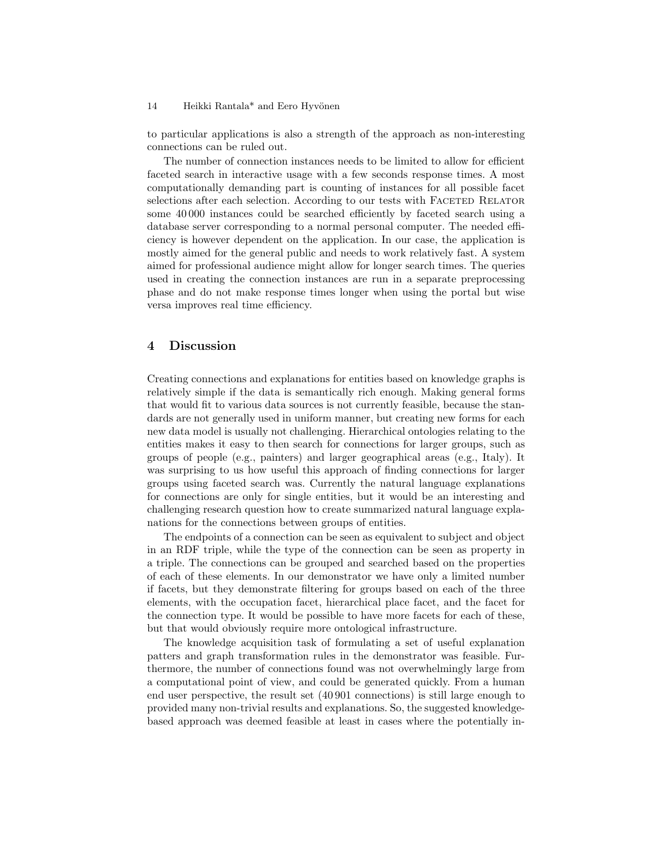#### 14 Heikki Rantala\* and Eero Hyvönen

to particular applications is also a strength of the approach as non-interesting connections can be ruled out.

The number of connection instances needs to be limited to allow for efficient faceted search in interactive usage with a few seconds response times. A most computationally demanding part is counting of instances for all possible facet selections after each selection. According to our tests with FACETED RELATOR some 40 000 instances could be searched efficiently by faceted search using a database server corresponding to a normal personal computer. The needed efficiency is however dependent on the application. In our case, the application is mostly aimed for the general public and needs to work relatively fast. A system aimed for professional audience might allow for longer search times. The queries used in creating the connection instances are run in a separate preprocessing phase and do not make response times longer when using the portal but wise versa improves real time efficiency.

## 4 Discussion

Creating connections and explanations for entities based on knowledge graphs is relatively simple if the data is semantically rich enough. Making general forms that would fit to various data sources is not currently feasible, because the standards are not generally used in uniform manner, but creating new forms for each new data model is usually not challenging. Hierarchical ontologies relating to the entities makes it easy to then search for connections for larger groups, such as groups of people (e.g., painters) and larger geographical areas (e.g., Italy). It was surprising to us how useful this approach of finding connections for larger groups using faceted search was. Currently the natural language explanations for connections are only for single entities, but it would be an interesting and challenging research question how to create summarized natural language explanations for the connections between groups of entities.

The endpoints of a connection can be seen as equivalent to subject and object in an RDF triple, while the type of the connection can be seen as property in a triple. The connections can be grouped and searched based on the properties of each of these elements. In our demonstrator we have only a limited number if facets, but they demonstrate filtering for groups based on each of the three elements, with the occupation facet, hierarchical place facet, and the facet for the connection type. It would be possible to have more facets for each of these, but that would obviously require more ontological infrastructure.

The knowledge acquisition task of formulating a set of useful explanation patters and graph transformation rules in the demonstrator was feasible. Furthermore, the number of connections found was not overwhelmingly large from a computational point of view, and could be generated quickly. From a human end user perspective, the result set (40 901 connections) is still large enough to provided many non-trivial results and explanations. So, the suggested knowledgebased approach was deemed feasible at least in cases where the potentially in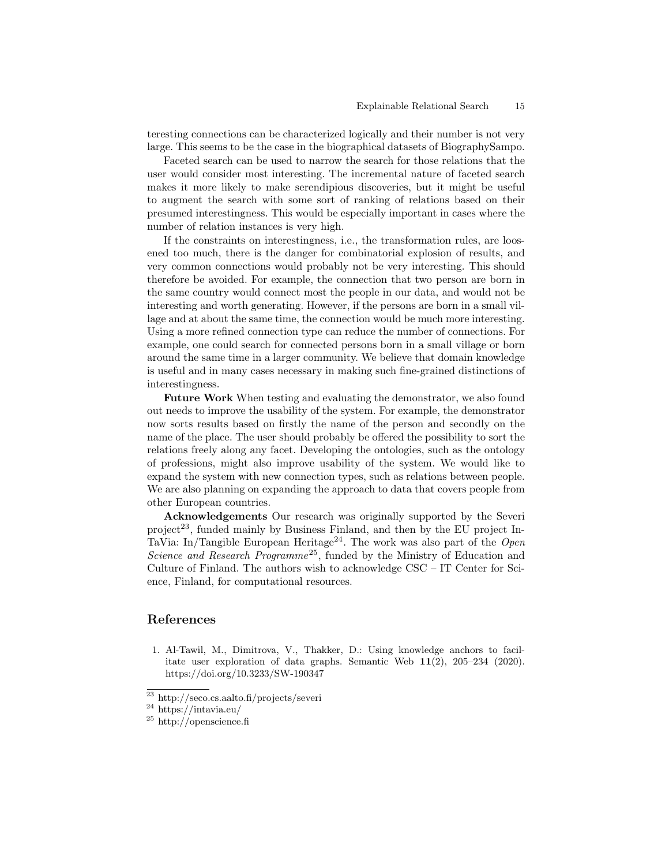teresting connections can be characterized logically and their number is not very large. This seems to be the case in the biographical datasets of BiographySampo.

Faceted search can be used to narrow the search for those relations that the user would consider most interesting. The incremental nature of faceted search makes it more likely to make serendipious discoveries, but it might be useful to augment the search with some sort of ranking of relations based on their presumed interestingness. This would be especially important in cases where the number of relation instances is very high.

If the constraints on interestingness, i.e., the transformation rules, are loosened too much, there is the danger for combinatorial explosion of results, and very common connections would probably not be very interesting. This should therefore be avoided. For example, the connection that two person are born in the same country would connect most the people in our data, and would not be interesting and worth generating. However, if the persons are born in a small village and at about the same time, the connection would be much more interesting. Using a more refined connection type can reduce the number of connections. For example, one could search for connected persons born in a small village or born around the same time in a larger community. We believe that domain knowledge is useful and in many cases necessary in making such fine-grained distinctions of interestingness.

Future Work When testing and evaluating the demonstrator, we also found out needs to improve the usability of the system. For example, the demonstrator now sorts results based on firstly the name of the person and secondly on the name of the place. The user should probably be offered the possibility to sort the relations freely along any facet. Developing the ontologies, such as the ontology of professions, might also improve usability of the system. We would like to expand the system with new connection types, such as relations between people. We are also planning on expanding the approach to data that covers people from other European countries.

Acknowledgements Our research was originally supported by the Severi  $project<sup>23</sup>$ , funded mainly by Business Finland, and then by the EU project In-TaVia: In/Tangible European Heritage<sup>24</sup>. The work was also part of the Open Science and Research Programme<sup>25</sup>, funded by the Ministry of Education and Culture of Finland. The authors wish to acknowledge CSC – IT Center for Science, Finland, for computational resources.

## References

1. Al-Tawil, M., Dimitrova, V., Thakker, D.: Using knowledge anchors to facilitate user exploration of data graphs. Semantic Web 11(2), 205–234 (2020). https://doi.org/10.3233/SW-190347

 $^\mathrm{23}$ http://seco.cs.aalto.fi/projects/severi

 $^{24}$ https://intavia.eu/

 $^{25}$ http://openscience.fi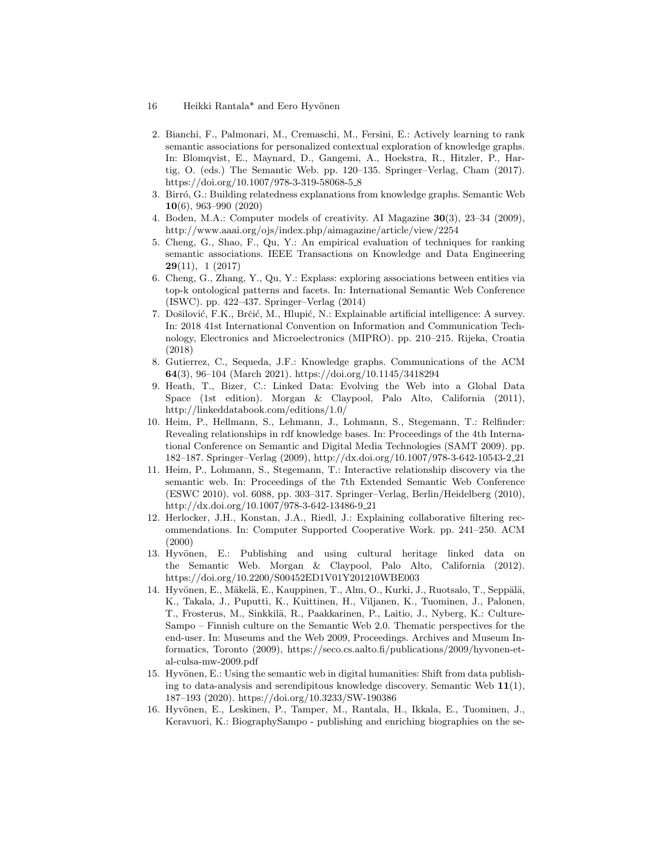- 16 Heikki Rantala\* and Eero Hyvönen
- 2. Bianchi, F., Palmonari, M., Cremaschi, M., Fersini, E.: Actively learning to rank semantic associations for personalized contextual exploration of knowledge graphs. In: Blomqvist, E., Maynard, D., Gangemi, A., Hoekstra, R., Hitzler, P., Hartig, O. (eds.) The Semantic Web. pp. 120–135. Springer–Verlag, Cham (2017). https://doi.org/10.1007/978-3-319-58068-5 8
- 3. Birró, G.: Building relatedness explanations from knowledge graphs. Semantic Web 10(6), 963–990 (2020)
- 4. Boden, M.A.: Computer models of creativity. AI Magazine 30(3), 23–34 (2009), http://www.aaai.org/ojs/index.php/aimagazine/article/view/2254
- 5. Cheng, G., Shao, F., Qu, Y.: An empirical evaluation of techniques for ranking semantic associations. IEEE Transactions on Knowledge and Data Engineering  $29(11), 1(2017)$
- 6. Cheng, G., Zhang, Y., Qu, Y.: Explass: exploring associations between entities via top-k ontological patterns and facets. In: International Semantic Web Conference (ISWC). pp. 422–437. Springer–Verlag (2014)
- 7. Došilović, F.K., Brčić, M., Hlupić, N.: Explainable artificial intelligence: A survey. In: 2018 41st International Convention on Information and Communication Technology, Electronics and Microelectronics (MIPRO). pp. 210–215. Rijeka, Croatia (2018)
- 8. Gutierrez, C., Sequeda, J.F.: Knowledge graphs. Communications of the ACM 64(3), 96–104 (March 2021). https://doi.org/10.1145/3418294
- 9. Heath, T., Bizer, C.: Linked Data: Evolving the Web into a Global Data Space (1st edition). Morgan & Claypool, Palo Alto, California (2011), http://linkeddatabook.com/editions/1.0/
- 10. Heim, P., Hellmann, S., Lehmann, J., Lohmann, S., Stegemann, T.: Relfinder: Revealing relationships in rdf knowledge bases. In: Proceedings of the 4th International Conference on Semantic and Digital Media Technologies (SAMT 2009). pp. 182–187. Springer–Verlag (2009), http://dx.doi.org/10.1007/978-3-642-10543-2 21
- 11. Heim, P., Lohmann, S., Stegemann, T.: Interactive relationship discovery via the semantic web. In: Proceedings of the 7th Extended Semantic Web Conference (ESWC 2010). vol. 6088, pp. 303–317. Springer–Verlag, Berlin/Heidelberg (2010), http://dx.doi.org/10.1007/978-3-642-13486-9 21
- 12. Herlocker, J.H., Konstan, J.A., Riedl, J.: Explaining collaborative filtering recommendations. In: Computer Supported Cooperative Work. pp. 241–250. ACM (2000)
- 13. Hyvönen, E.: Publishing and using cultural heritage linked data on the Semantic Web. Morgan & Claypool, Palo Alto, California (2012). https://doi.org/10.2200/S00452ED1V01Y201210WBE003
- 14. Hyvönen, E., Mäkelä, E., Kauppinen, T., Alm, O., Kurki, J., Ruotsalo, T., Seppälä, K., Takala, J., Puputti, K., Kuittinen, H., Viljanen, K., Tuominen, J., Palonen, T., Frosterus, M., Sinkkilä, R., Paakkarinen, P., Laitio, J., Nyberg, K.: Culture-Sampo – Finnish culture on the Semantic Web 2.0. Thematic perspectives for the end-user. In: Museums and the Web 2009, Proceedings. Archives and Museum Informatics, Toronto (2009), https://seco.cs.aalto.fi/publications/2009/hyvonen-etal-culsa-mw-2009.pdf
- 15. Hyvönen, E.: Using the semantic web in digital humanities: Shift from data publishing to data-analysis and serendipitous knowledge discovery. Semantic Web  $11(1)$ , 187–193 (2020). https://doi.org/10.3233/SW-190386
- 16. Hyvönen, E., Leskinen, P., Tamper, M., Rantala, H., Ikkala, E., Tuominen, J., Keravuori, K.: BiographySampo - publishing and enriching biographies on the se-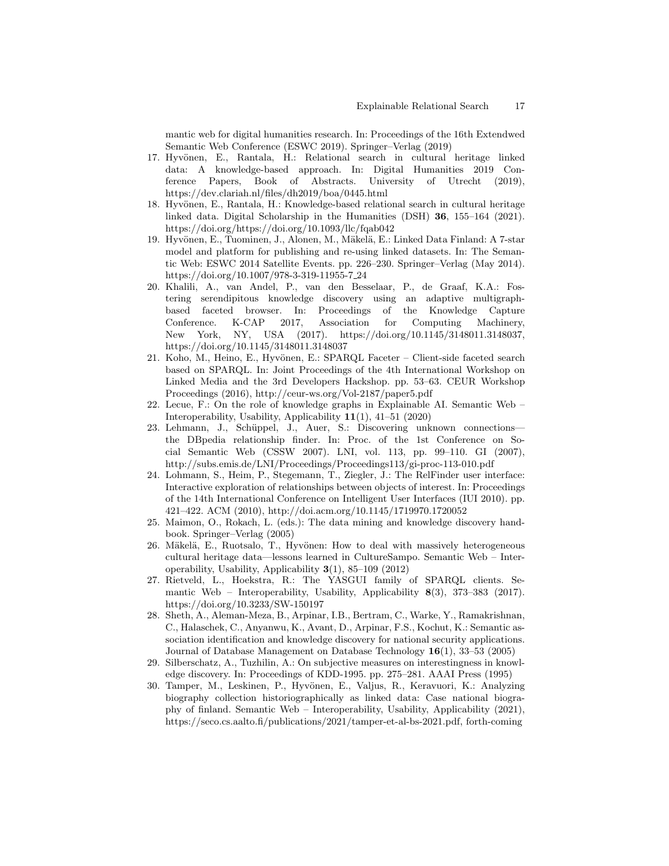mantic web for digital humanities research. In: Proceedings of the 16th Extendwed Semantic Web Conference (ESWC 2019). Springer–Verlag (2019)

- 17. Hyvönen, E., Rantala, H.: Relational search in cultural heritage linked data: A knowledge-based approach. In: Digital Humanities 2019 Conference Papers, Book of Abstracts. University of Utrecht (2019), https://dev.clariah.nl/files/dh2019/boa/0445.html
- 18. Hyvönen, E., Rantala, H.: Knowledge-based relational search in cultural heritage linked data. Digital Scholarship in the Humanities (DSH) 36, 155–164 (2021). https://doi.org/https://doi.org/10.1093/llc/fqab042
- 19. Hyvönen, E., Tuominen, J., Alonen, M., Mäkelä, E.: Linked Data Finland: A 7-star model and platform for publishing and re-using linked datasets. In: The Semantic Web: ESWC 2014 Satellite Events. pp. 226–230. Springer–Verlag (May 2014). https://doi.org/10.1007/978-3-319-11955-7 24
- 20. Khalili, A., van Andel, P., van den Besselaar, P., de Graaf, K.A.: Fostering serendipitous knowledge discovery using an adaptive multigraphbased faceted browser. In: Proceedings of the Knowledge Capture Conference. K-CAP 2017, Association for Computing Machinery, New York, NY, USA (2017). https://doi.org/10.1145/3148011.3148037, https://doi.org/10.1145/3148011.3148037
- 21. Koho, M., Heino, E., Hyvönen, E.: SPARQL Faceter Client-side faceted search based on SPARQL. In: Joint Proceedings of the 4th International Workshop on Linked Media and the 3rd Developers Hackshop. pp. 53–63. CEUR Workshop Proceedings (2016), http://ceur-ws.org/Vol-2187/paper5.pdf
- 22. Lecue, F.: On the role of knowledge graphs in Explainable AI. Semantic Web Interoperability, Usability, Applicability 11(1), 41–51 (2020)
- 23. Lehmann, J., Sch¨uppel, J., Auer, S.: Discovering unknown connections the DBpedia relationship finder. In: Proc. of the 1st Conference on Social Semantic Web (CSSW 2007). LNI, vol. 113, pp. 99–110. GI (2007), http://subs.emis.de/LNI/Proceedings/Proceedings113/gi-proc-113-010.pdf
- 24. Lohmann, S., Heim, P., Stegemann, T., Ziegler, J.: The RelFinder user interface: Interactive exploration of relationships between objects of interest. In: Proceedings of the 14th International Conference on Intelligent User Interfaces (IUI 2010). pp. 421–422. ACM (2010), http://doi.acm.org/10.1145/1719970.1720052
- 25. Maimon, O., Rokach, L. (eds.): The data mining and knowledge discovery handbook. Springer–Verlag (2005)
- 26. Mäkelä, E., Ruotsalo, T., Hyvönen: How to deal with massively heterogeneous cultural heritage data—lessons learned in CultureSampo. Semantic Web – Interoperability, Usability, Applicability 3(1), 85–109 (2012)
- 27. Rietveld, L., Hoekstra, R.: The YASGUI family of SPARQL clients. Semantic Web – Interoperability, Usability, Applicability  $8(3)$ , 373–383 (2017). https://doi.org/10.3233/SW-150197
- 28. Sheth, A., Aleman-Meza, B., Arpinar, I.B., Bertram, C., Warke, Y., Ramakrishnan, C., Halaschek, C., Anyanwu, K., Avant, D., Arpinar, F.S., Kochut, K.: Semantic association identification and knowledge discovery for national security applications. Journal of Database Management on Database Technology  $16(1)$ , 33–53 (2005)
- 29. Silberschatz, A., Tuzhilin, A.: On subjective measures on interestingness in knowledge discovery. In: Proceedings of KDD-1995. pp. 275–281. AAAI Press (1995)
- 30. Tamper, M., Leskinen, P., Hyvönen, E., Valjus, R., Keravuori, K.: Analyzing biography collection historiographically as linked data: Case national biography of finland. Semantic Web – Interoperability, Usability, Applicability (2021), https://seco.cs.aalto.fi/publications/2021/tamper-et-al-bs-2021.pdf, forth-coming